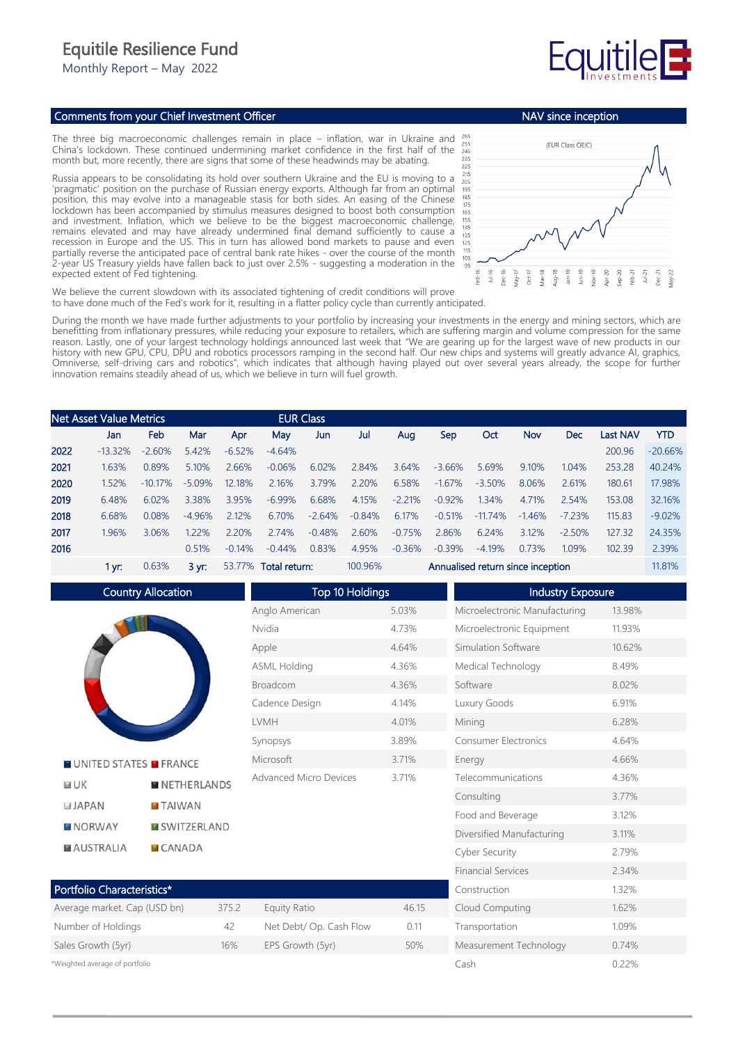## Equitile Resilience Fund

Monthly Report – May 2022

## Comments from your Chief Investment Officer

The three big macroeconomic challenges remain in place – inflation, war in Ukraine and China's lockdown. These continued undermining market confidence in the first half of the month but, more recently, there are signs that some of these headwinds may be abating.

Russia appears to be consolidating its hold over southern Ukraine and the EU is moving to a 'pragmatic' position on the purchase of Russian energy exports. Although far from an optimal position, this may evolve into a manageable stasis for both sides. An easing of the Chinese lockdown has been accompanied by stimulus measures designed to boost both consumption and investment. Inflation, which we believe to be the biggest macroeconomic challenge, remains elevated and may have already undermined final demand sufficiently to cause a recession in Europe and the US. This in turn has allowed bond markets to pause and even partially reverse the anticipated pace of central bank rate hikes - over the course of the month 2-year US Treasury yields have fallen back to just over 2.5% - suggesting a moderation in the expected extent of Fed tightening.



Measurement Technology 0.74% Cash 0.22%

NAV since inception

We believe the current slowdown with its associated tightening of credit conditions will prove to have done much of the Fed's work for it, resulting in a flatter policy cycle than currently anticipated.

During the month we have made further adjustments to your portfolio by increasing your investments in the energy and mining sectors, which are benefitting from inflationary pressures, while reducing your exposure to retailers, which are suffering margin and volume compression for the same reason. Lastly, one of your largest technology holdings announced last week that "We are gearing up for the largest wave of new products in our history with new GPU, CPU, DPU and robotics processors ramping in the second half. Our new chips and systems will greatly advance AI, graphics, Omniverse, self-driving cars and robotics", which indicates that although having played out over several years already, the scope for further innovation remains steadily ahead of us, which we believe in turn will fuel growth.

|      | <b>Net Asset Value Metrics</b> |            |                |          |                      | <b>EUR Class</b> |          |                                   |          |           |          |            |                 |            |
|------|--------------------------------|------------|----------------|----------|----------------------|------------------|----------|-----------------------------------|----------|-----------|----------|------------|-----------------|------------|
|      | Jan                            | Feb        | Mar            | Apr      | May                  | Jun              | Jul      | Aug                               | Sep      | Oct       | Nov      | <b>Dec</b> | <b>Last NAV</b> | <b>YTD</b> |
| 2022 | $-13.32%$                      | $-2.60%$   | 5.42%          | $-6.52%$ | $-4.64%$             |                  |          |                                   |          |           |          |            | 200.96          | $-20.66%$  |
| 2021 | 1.63%                          | 0.89%      | 5.10%          | 2.66%    | $-0.06%$             | 6.02%            | 2.84%    | 3.64%                             | $-3.66%$ | 5.69%     | 9.10%    | 1.04%      | 253.28          | 40.24%     |
| 2020 | 1.52%                          | $-10.17\%$ | $-5.09%$       | 12.18%   | 2.16%                | 3.79%            | 2.20%    | 6.58%                             | $-1.67%$ | $-3.50%$  | 8.06%    | 2.61%      | 180.61          | 17.98%     |
| 2019 | 6.48%                          | 6.02%      | 3.38%          | 3.95%    | $-6.99\%$            | 6.68%            | 4.15%    | $-2.21%$                          | $-0.92%$ | 1.34%     | 4.71%    | 2.54%      | 153.08          | 32.16%     |
| 2018 | 6.68%                          | 0.08%      | $-4.96%$       | 2.12%    | 6.70%                | $-2.64%$         | $-0.84%$ | 6.17%                             | $-0.51%$ | $-11.74%$ | $-1.46%$ | $-7.23%$   | 115.83          | $-9.02%$   |
| 2017 | 1.96%                          | 3.06%      | 1.22%          | 2.20%    | 2.74%                | $-0.48%$         | 2.60%    | $-0.75%$                          | 2.86%    | 6.24%     | 3.12%    | $-2.50%$   | 127.32          | 24.35%     |
| 2016 |                                |            | 0.51%          | $-0.14%$ | $-0.44\%$            | 0.83%            | 4.95%    | $-0.36%$                          | $-0.39%$ | $-4.19%$  | 0.73%    | 1.09%      | 102.39          | 2.39%      |
|      | 1 yr:                          | 0.63%      | $3 \text{ yr}$ |          | 53.77% Total return: |                  | 100.96%  | Annualised return since inception |          |           |          |            | 11.81%          |            |

Country Allocation Top 10 Holdings Industry Exposure Anglo American 5.03% Microelectronic Manufacturing 13.98% Nvidia 4.73% Microelectronic Equipment 11.93% Apple 4.64% Simulation Software 10.62% ASML Holding 4.36% Medical Technology 8.49% Broadcom 4.36% Software 8.02% Cadence Design 4.14% Luxury Goods 6.91% LVMH 4.01% Mining 6.28% Synopsys 3.89% Consumer Electronics 4.64% Microsoft 3.71% Energy 4.66% **NUNITED STATES MERANCE** Advanced Micro Devices 3.71% Telecommunications 4.36%  $F = I K$ **NETHERLANDS** Consulting 3.77% **JAPAN TAIWAN** Food and Beverage 3.12% **MISWITZERLAND NORWAY** Diversified Manufacturing 3.11% **MAUSTRALIA CANADA** Cyber Security 2.79% Financial Services 2.34% Portfolio Characteristics\* Construction 1.32% Average market. Cap (USD bn) 375.2 Equity Ratio 46.15 Cloud Computing 1.62% Number of Holdings and A2 Net Debt/ Op. Cash Flow 0.11 Transportation 1.09% Sales Growth (5yr) 16% EPS Growth (5yr) 50%

\*Weighted average of portfolio